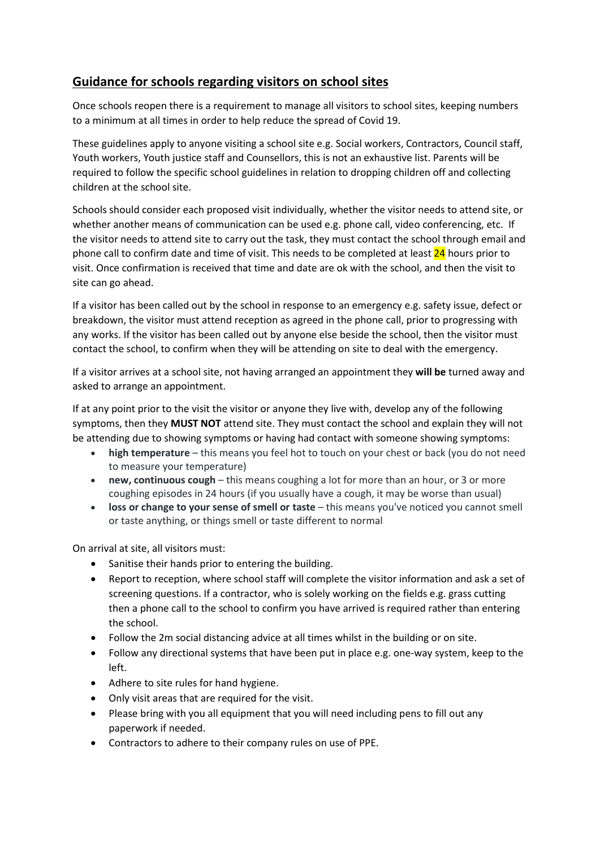## **Guidance for schools regarding visitors on school sites**

Once schools reopen there is a requirement to manage all visitors to school sites, keeping numbers to a minimum at all times in order to help reduce the spread of Covid 19.

These guidelines apply to anyone visiting a school site e.g. Social workers, Contractors, Council staff, Youth workers, Youth justice staff and Counsellors, this is not an exhaustive list. Parents will be required to follow the specific school guidelines in relation to dropping children off and collecting children at the school site.

Schools should consider each proposed visit individually, whether the visitor needs to attend site, or whether another means of communication can be used e.g. phone call, video conferencing, etc. If the visitor needs to attend site to carry out the task, they must contact the school through email and phone call to confirm date and time of visit. This needs to be completed at least 24 hours prior to visit. Once confirmation is received that time and date are ok with the school, and then the visit to site can go ahead.

If a visitor has been called out by the school in response to an emergency e.g. safety issue, defect or breakdown, the visitor must attend reception as agreed in the phone call, prior to progressing with any works. If the visitor has been called out by anyone else beside the school, then the visitor must contact the school, to confirm when they will be attending on site to deal with the emergency.

If a visitor arrives at a school site, not having arranged an appointment they **will be** turned away and asked to arrange an appointment.

If at any point prior to the visit the visitor or anyone they live with, develop any of the following symptoms, then they **MUST NOT** attend site. They must contact the school and explain they will not be attending due to showing symptoms or having had contact with someone showing symptoms:

- **high temperature** this means you feel hot to touch on your chest or back (you do not need to measure your temperature)
- **new, continuous cough** this means coughing a lot for more than an hour, or 3 or more coughing episodes in 24 hours (if you usually have a cough, it may be worse than usual)
- **loss or change to your sense of smell or taste** this means you've noticed you cannot smell or taste anything, or things smell or taste different to normal

On arrival at site, all visitors must:

- Sanitise their hands prior to entering the building.
- Report to reception, where school staff will complete the visitor information and ask a set of screening questions. If a contractor, who is solely working on the fields e.g. grass cutting then a phone call to the school to confirm you have arrived is required rather than entering the school.
- Follow the 2m social distancing advice at all times whilst in the building or on site.
- Follow any directional systems that have been put in place e.g. one-way system, keep to the left.
- Adhere to site rules for hand hygiene.
- Only visit areas that are required for the visit.
- Please bring with you all equipment that you will need including pens to fill out any paperwork if needed.
- Contractors to adhere to their company rules on use of PPE.